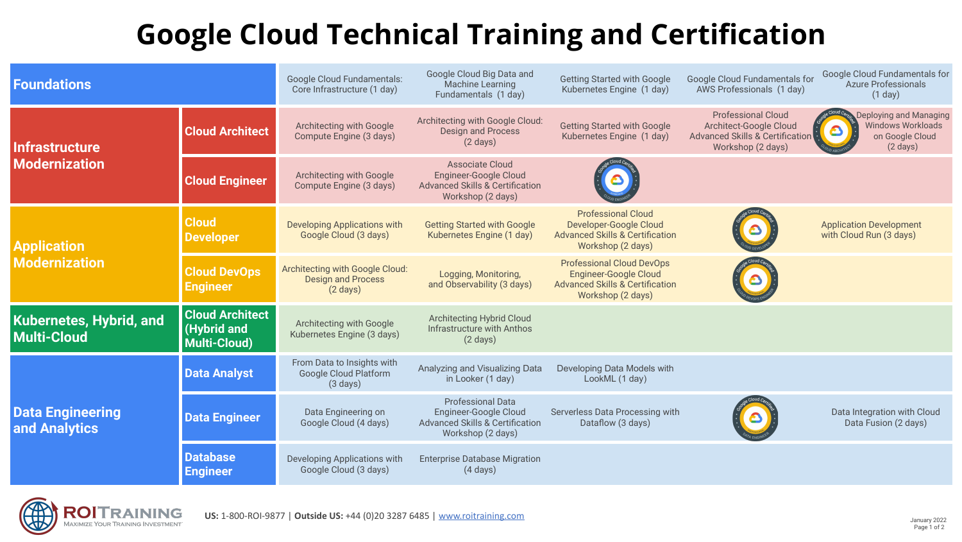## **Google Cloud Technical Training and Certification**

| <b>Foundations</b>                            |                                                              | <b>Google Cloud Fundamentals:</b><br>Core Infrastructure (1 day)                   | Google Cloud Big Data and<br><b>Machine Learning</b><br>Fundamentals (1 day)                                              | <b>Getting Started with Google</b><br>Kubernetes Engine (1 day)                                                                     | Google Cloud Fundamentals for<br>AWS Professionals (1 day)                                                             | Google Cloud Fundamentals for<br><b>Azure Professionals</b><br>(1 day)                      |  |
|-----------------------------------------------|--------------------------------------------------------------|------------------------------------------------------------------------------------|---------------------------------------------------------------------------------------------------------------------------|-------------------------------------------------------------------------------------------------------------------------------------|------------------------------------------------------------------------------------------------------------------------|---------------------------------------------------------------------------------------------|--|
| Infrastructure<br><b>Modernization</b>        | <b>Cloud Architect</b>                                       | Architecting with Google<br>Compute Engine (3 days)                                | Architecting with Google Cloud:<br><b>Design and Process</b><br>$(2 \text{ days})$                                        | <b>Getting Started with Google</b><br>Kubernetes Engine (1 day)                                                                     | <b>Professional Cloud</b><br>Architect-Google Cloud<br><b>Advanced Skills &amp; Certification</b><br>Workshop (2 days) | Deploying and Managing<br><b>Windows Workloads</b><br>on Google Cloud<br>$(2 \text{ days})$ |  |
|                                               | <b>Cloud Engineer</b>                                        | Architecting with Google<br>Compute Engine (3 days)                                | <b>Associate Cloud</b><br><b>Engineer-Google Cloud</b><br><b>Advanced Skills &amp; Certification</b><br>Workshop (2 days) |                                                                                                                                     |                                                                                                                        |                                                                                             |  |
| <b>Application</b><br><b>Modernization</b>    | <b>Cloud</b><br><b>Developer</b>                             | <b>Developing Applications with</b><br>Google Cloud (3 days)                       | <b>Getting Started with Google</b><br>Kubernetes Engine (1 day)                                                           | <b>Professional Cloud</b><br>Developer-Google Cloud<br><b>Advanced Skills &amp; Certification</b><br>Workshop (2 days)              |                                                                                                                        | <b>Application Development</b><br>with Cloud Run (3 days)                                   |  |
|                                               | <b>Cloud DevOps</b><br><b>Engineer</b>                       | Architecting with Google Cloud:<br><b>Design and Process</b><br>$(2 \text{ days})$ | Logging, Monitoring,<br>and Observability (3 days)                                                                        | <b>Professional Cloud DevOps</b><br><b>Engineer-Google Cloud</b><br><b>Advanced Skills &amp; Certification</b><br>Workshop (2 days) |                                                                                                                        |                                                                                             |  |
| <b>Kubernetes, Hybrid, and</b><br>Multi-Cloud | <b>Cloud Architect</b><br>(Hybrid and<br><b>Multi-Cloud)</b> | Architecting with Google<br>Kubernetes Engine (3 days)                             | <b>Architecting Hybrid Cloud</b><br>Infrastructure with Anthos<br>$(2 \text{ days})$                                      |                                                                                                                                     |                                                                                                                        |                                                                                             |  |
| <b>Data Engineering</b><br>and Analytics      | <b>Data Analyst</b>                                          | From Data to Insights with<br><b>Google Cloud Platform</b><br>$(3 \text{ days})$   | Analyzing and Visualizing Data<br>in Looker (1 day)                                                                       | Developing Data Models with<br>LookML (1 day)                                                                                       |                                                                                                                        |                                                                                             |  |
|                                               | <b>Data Engineer</b>                                         | Data Engineering on<br>Google Cloud (4 days)                                       | <b>Professional Data</b><br>Engineer-Google Cloud<br><b>Advanced Skills &amp; Certification</b><br>Workshop (2 days)      | Serverless Data Processing with<br>Dataflow (3 days)                                                                                |                                                                                                                        | Data Integration with Cloud<br>Data Fusion (2 days)                                         |  |
|                                               | <b>Database</b><br><b>Engineer</b>                           | Developing Applications with<br>Google Cloud (3 days)                              | <b>Enterprise Database Migration</b><br>$(4 \text{ days})$                                                                |                                                                                                                                     |                                                                                                                        |                                                                                             |  |